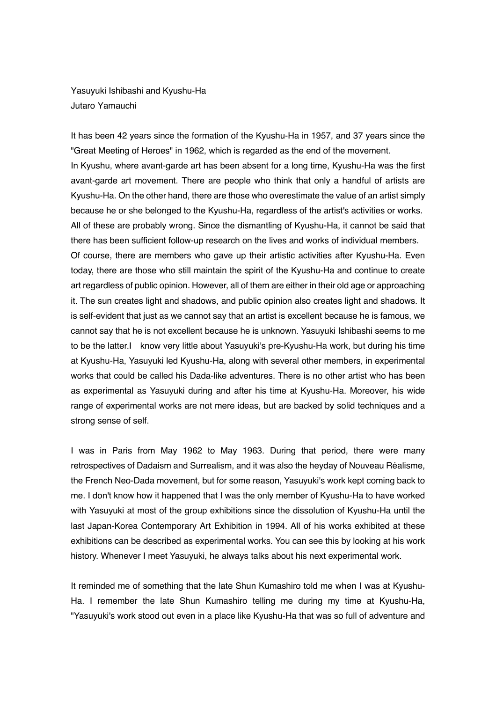Yasuyuki Ishibashi and Kyushu-Ha Jutaro Yamauchi

It has been 42 years since the formation of the Kyushu-Ha in 1957, and 37 years since the "Great Meeting of Heroes" in 1962, which is regarded as the end of the movement. In Kyushu, where avant-garde art has been absent for a long time, Kyushu-Ha was the first avant-garde art movement. There are people who think that only a handful of artists are Kyushu-Ha. On the other hand, there are those who overestimate the value of an artist simply because he or she belonged to the Kyushu-Ha, regardless of the artist's activities or works. All of these are probably wrong. Since the dismantling of Kyushu-Ha, it cannot be said that there has been sufficient follow-up research on the lives and works of individual members. Of course, there are members who gave up their artistic activities after Kyushu-Ha. Even today, there are those who still maintain the spirit of the Kyushu-Ha and continue to create art regardless of public opinion. However, all of them are either in their old age or approaching it. The sun creates light and shadows, and public opinion also creates light and shadows. It is self-evident that just as we cannot say that an artist is excellent because he is famous, we cannot say that he is not excellent because he is unknown. Yasuyuki Ishibashi seems to me to be the latter.I know very little about Yasuyuki's pre-Kyushu-Ha work, but during his time at Kyushu-Ha, Yasuyuki led Kyushu-Ha, along with several other members, in experimental works that could be called his Dada-like adventures. There is no other artist who has been as experimental as Yasuyuki during and after his time at Kyushu-Ha. Moreover, his wide range of experimental works are not mere ideas, but are backed by solid techniques and a strong sense of self.

I was in Paris from May 1962 to May 1963. During that period, there were many retrospectives of Dadaism and Surrealism, and it was also the heyday of Nouveau Réalisme, the French Neo-Dada movement, but for some reason, Yasuyuki's work kept coming back to me. I don't know how it happened that I was the only member of Kyushu-Ha to have worked with Yasuyuki at most of the group exhibitions since the dissolution of Kyushu-Ha until the last Japan-Korea Contemporary Art Exhibition in 1994. All of his works exhibited at these exhibitions can be described as experimental works. You can see this by looking at his work history. Whenever I meet Yasuyuki, he always talks about his next experimental work.

It reminded me of something that the late Shun Kumashiro told me when I was at Kyushu-Ha. I remember the late Shun Kumashiro telling me during my time at Kyushu-Ha, "Yasuyuki's work stood out even in a place like Kyushu-Ha that was so full of adventure and